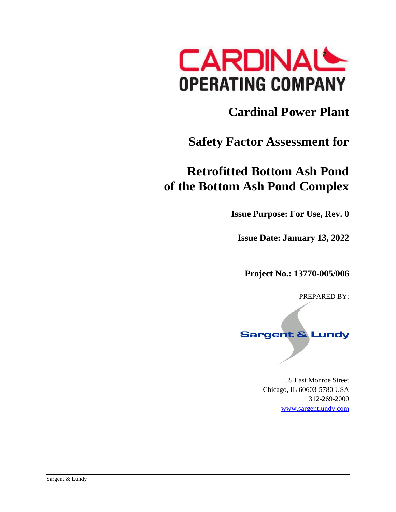

# **Cardinal Power Plant**

### **Safety Factor Assessment for**

## **Retrofitted Bottom Ash Pond of the Bottom Ash Pond Complex**

**Issue Purpose: For Use, Rev. 0**

**Issue Date: January 13, 2022**

**Project No.: 13770-005/006**

PREPARED BY:

## **Sargent & Lundy**

55 East Monroe Street Chicago, IL 60603-5780 USA 312-269-2000 [www.sargentlundy.com](http://www.sargentlundy.com/)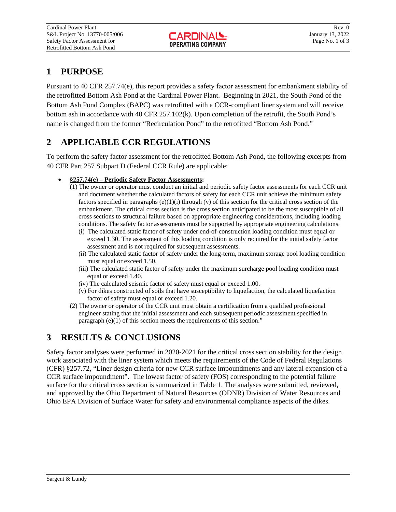### **1 PURPOSE**

Pursuant to 40 CFR 257.74(e), this report provides a safety factor assessment for embankment stability of the retrofitted Bottom Ash Pond at the Cardinal Power Plant. Beginning in 2021, the South Pond of the Bottom Ash Pond Complex (BAPC) was retrofitted with a CCR-compliant liner system and will receive bottom ash in accordance with 40 CFR 257.102(k). Upon completion of the retrofit, the South Pond's name is changed from the former "Recirculation Pond" to the retrofitted "Bottom Ash Pond."

### **2 APPLICABLE CCR REGULATIONS**

To perform the safety factor assessment for the retrofitted Bottom Ash Pond, the following excerpts from 40 CFR Part 257 Subpart D (Federal CCR Rule) are applicable:

- **§257.74(e) – Periodic Safety Factor Assessments:**
	- (1) The owner or operator must conduct an initial and periodic safety factor assessments for each CCR unit and document whether the calculated factors of safety for each CCR unit achieve the minimum safety factors specified in paragraphs  $(e)(1)(i)$  through  $(v)$  of this section for the critical cross section of the embankment. The critical cross section is the cross section anticipated to be the most susceptible of all cross sections to structural failure based on appropriate engineering considerations, including loading conditions. The safety factor assessments must be supported by appropriate engineering calculations.
		- (i) The calculated static factor of safety under end-of-construction loading condition must equal or exceed 1.30. The assessment of this loading condition is only required for the initial safety factor assessment and is not required for subsequent assessments.
		- (ii) The calculated static factor of safety under the long-term, maximum storage pool loading condition must equal or exceed 1.50.
		- (iii) The calculated static factor of safety under the maximum surcharge pool loading condition must equal or exceed 1.40.
		- (iv) The calculated seismic factor of safety must equal or exceed 1.00.
		- (v) For dikes constructed of soils that have susceptibility to liquefaction, the calculated liquefaction factor of safety must equal or exceed 1.20.
	- (2) The owner or operator of the CCR unit must obtain a certification from a qualified professional engineer stating that the initial assessment and each subsequent periodic assessment specified in paragraph (e)(1) of this section meets the requirements of this section."

### **3 RESULTS & CONCLUSIONS**

Safety factor analyses were performed in 2020-2021 for the critical cross section stability for the design work associated with the liner system which meets the requirements of the Code of Federal Regulations (CFR) §257.72, "Liner design criteria for new CCR surface impoundments and any lateral expansion of a CCR surface impoundment". The lowest factor of safety (FOS) corresponding to the potential failure surface for the critical cross section is summarized in Table 1. The analyses were submitted, reviewed, and approved by the Ohio Department of Natural Resources (ODNR) Division of Water Resources and Ohio EPA Division of Surface Water for safety and environmental compliance aspects of the dikes.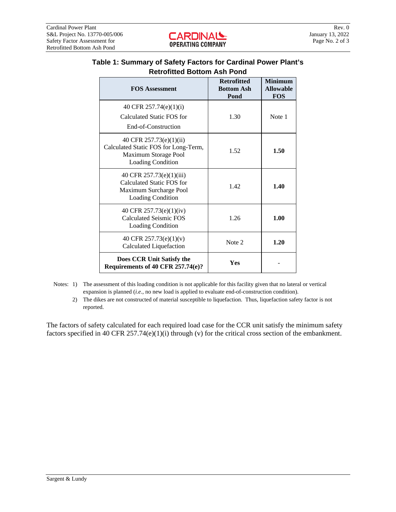| v rv                                                                                                                |                                                 |                                                  |  |  |  |  |
|---------------------------------------------------------------------------------------------------------------------|-------------------------------------------------|--------------------------------------------------|--|--|--|--|
| <b>FOS Assessment</b>                                                                                               | <b>Retrofitted</b><br><b>Bottom Ash</b><br>Pond | <b>Minimum</b><br><b>Allowable</b><br><b>FOS</b> |  |  |  |  |
| 40 CFR 257.74(e)(1)(i)                                                                                              |                                                 |                                                  |  |  |  |  |
| Calculated Static FOS for                                                                                           | 1.30                                            | Note 1                                           |  |  |  |  |
| End-of-Construction                                                                                                 |                                                 |                                                  |  |  |  |  |
| 40 CFR 257.73(e)(1)(ii)<br>Calculated Static FOS for Long-Term,<br>Maximum Storage Pool<br><b>Loading Condition</b> | 1.52                                            | 1.50                                             |  |  |  |  |
| 40 CFR 257.73(e)(1)(iii)<br>Calculated Static FOS for<br>Maximum Surcharge Pool<br><b>Loading Condition</b>         | 1.42                                            | 1.40                                             |  |  |  |  |
| 40 CFR 257.73(e)(1)(iv)<br><b>Calculated Seismic FOS</b><br><b>Loading Condition</b>                                | 1.26                                            | 1.00                                             |  |  |  |  |
| 40 CFR $257.73(e)(1)(v)$<br>Calculated Liquefaction                                                                 | Note 2                                          | 1.20                                             |  |  |  |  |
| Does CCR Unit Satisfy the<br>Requirements of 40 CFR 257.74(e)?                                                      | Yes                                             |                                                  |  |  |  |  |

#### **Table 1: Summary of Safety Factors for Cardinal Power Plant's Retrofitted Bottom Ash Pond**

- Notes: 1) The assessment of this loading condition is not applicable for this facility given that no lateral or vertical expansion is planned (*i.e*., no new load is applied to evaluate end-of-construction condition).
	- 2) The dikes are not constructed of material susceptible to liquefaction. Thus, liquefaction safety factor is not reported.

The factors of safety calculated for each required load case for the CCR unit satisfy the minimum safety factors specified in 40 CFR 257.74(e)(1)(i) through (v) for the critical cross section of the embankment.